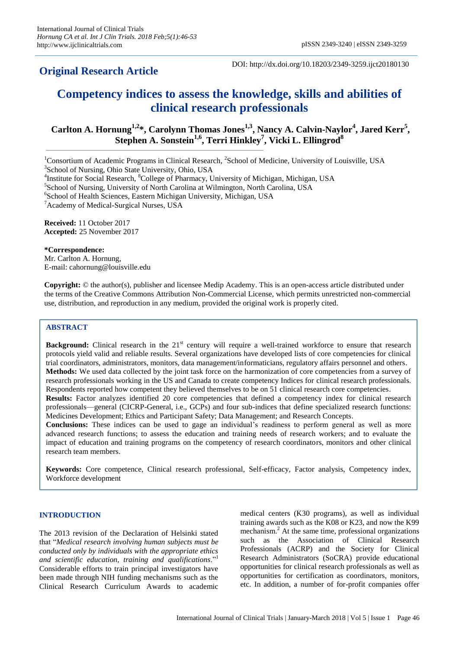# **Original Research Article**

DOI: http://dx.doi.org/10.18203/2349-3259.ijct20180130

# **Competency indices to assess the knowledge, skills and abilities of clinical research professionals**

# **Carlton A. Hornung1,2\*, Carolynn Thomas Jones1,3, Nancy A. Calvin-Naylor<sup>4</sup> , Jared Kerr<sup>5</sup> , Stephen A. Sonstein1,6, Terri Hinkley<sup>7</sup> , Vicki L. Ellingrod<sup>8</sup>**

<sup>1</sup>Consortium of Academic Programs in Clinical Research, <sup>2</sup>School of Medicine, University of Louisville, USA 3 School of Nursing, Ohio State University, Ohio, USA

5 School of Nursing, University of North Carolina at Wilmington, North Carolina, USA

6 School of Health Sciences, Eastern Michigan University, Michigan, USA

<sup>7</sup> Academy of Medical-Surgical Nurses, USA

**Received:** 11 October 2017 **Accepted:** 25 November 2017

## **\*Correspondence:**

Mr. Carlton A. Hornung, E-mail: cahornung@louisville.edu

**Copyright:** © the author(s), publisher and licensee Medip Academy. This is an open-access article distributed under the terms of the Creative Commons Attribution Non-Commercial License, which permits unrestricted non-commercial use, distribution, and reproduction in any medium, provided the original work is properly cited.

# **ABSTRACT**

**Background:** Clinical research in the 21<sup>st</sup> century will require a well-trained workforce to ensure that research protocols yield valid and reliable results. Several organizations have developed lists of core competencies for clinical trial coordinators, administrators, monitors, data management/informaticians, regulatory affairs personnel and others. **Methods:** We used data collected by the joint task force on the harmonization of core competencies from a survey of research professionals working in the US and Canada to create competency Indices for clinical research professionals. Respondents reported how competent they believed themselves to be on 51 clinical research core competencies.

**Results:** Factor analyzes identified 20 core competencies that defined a competency index for clinical research professionals—general (CICRP-General, i.e., GCPs) and four sub-indices that define specialized research functions: Medicines Development; Ethics and Participant Safety; Data Management; and Research Concepts.

**Conclusions:** These indices can be used to gage an individual"s readiness to perform general as well as more advanced research functions; to assess the education and training needs of research workers; and to evaluate the impact of education and training programs on the competency of research coordinators, monitors and other clinical research team members.

**Keywords:** Core competence, Clinical research professional, Self-efficacy, Factor analysis, Competency index, Workforce development

## **INTRODUCTION**

The 2013 revision of the Declaration of Helsinki stated that "*Medical research involving human subjects must be conducted only by individuals with the appropriate ethics and scientific education, training and qualifications*."<sup>1</sup> Considerable efforts to train principal investigators have been made through NIH funding mechanisms such as the Clinical Research Curriculum Awards to academic

medical centers (K30 programs), as well as individual training awards such as the K08 or K23, and now the K99 mechanism.<sup>2</sup> At the same time, professional organizations such as the Association of Clinical Research Professionals (ACRP) and the Society for Clinical Research Administrators (SoCRA) provide educational opportunities for clinical research professionals as well as opportunities for certification as coordinators, monitors, etc. In addition, a number of for-profit companies offer

<sup>&</sup>lt;sup>4</sup>Institute for Social Research, <sup>8</sup>College of Pharmacy, University of Michigan, Michigan, USA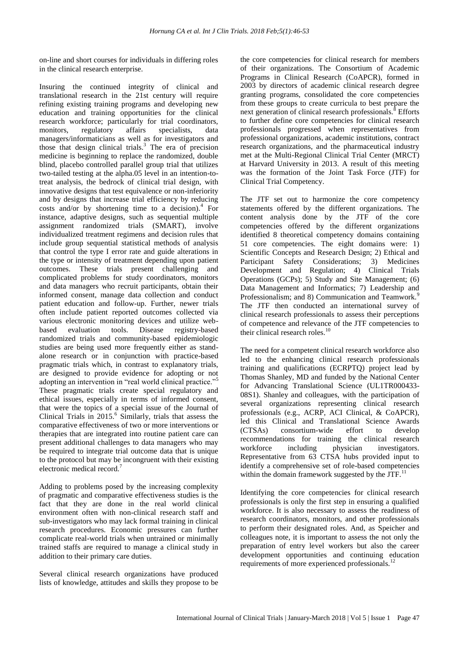on-line and short courses for individuals in differing roles in the clinical research enterprise.

Insuring the continued integrity of clinical and translational research in the 21st century will require refining existing training programs and developing new education and training opportunities for the clinical research workforce; particularly for trial coordinators, monitors, regulatory affairs specialists, data managers/informaticians as well as for investigators and those that design clinical trials.<sup>3</sup> The era of precision medicine is beginning to replace the randomized, double blind, placebo controlled parallel group trial that utilizes two-tailed testing at the alpha.05 level in an intention-totreat analysis, the bedrock of clinical trial design, with innovative designs that test equivalence or non-inferiority and by designs that increase trial efficiency by reducing costs and/or by shortening time to a decision). $4$  For instance, adaptive designs, such as sequential multiple assignment randomized trials (SMART), involve individualized treatment regimens and decision rules that include group sequential statistical methods of analysis that control the type I error rate and guide alterations in the type or intensity of treatment depending upon patient outcomes. These trials present challenging and complicated problems for study coordinators, monitors and data managers who recruit participants, obtain their informed consent, manage data collection and conduct patient education and follow-up. Further, newer trials often include patient reported outcomes collected via various electronic monitoring devices and utilize webbased evaluation tools. Disease registry-based randomized trials and community-based epidemiologic studies are being used more frequently either as standalone research or in conjunction with practice-based pragmatic trials which, in contrast to explanatory trials, are designed to provide evidence for adopting or not adopting an intervention in "real world clinical practice."<sup>5</sup> These pragmatic trials create special regulatory and ethical issues, especially in terms of informed consent, that were the topics of a special issue of the Journal of Clinical Trials in 2015.<sup>6</sup> Similarly, trials that assess the comparative effectiveness of two or more interventions or therapies that are integrated into routine patient care can present additional challenges to data managers who may be required to integrate trial outcome data that is unique to the protocol but may be incongruent with their existing electronic medical record.<sup>7</sup>

Adding to problems posed by the increasing complexity of pragmatic and comparative effectiveness studies is the fact that they are done in the real world clinical environment often with non-clinical research staff and sub-investigators who may lack formal training in clinical research procedures. Economic pressures can further complicate real-world trials when untrained or minimally trained staffs are required to manage a clinical study in addition to their primary care duties.

Several clinical research organizations have produced lists of knowledge, attitudes and skills they propose to be

the core competencies for clinical research for members of their organizations. The Consortium of Academic Programs in Clinical Research (CoAPCR), formed in 2003 by directors of academic clinical research degree granting programs, consolidated the core competencies from these groups to create curricula to best prepare the next generation of clinical research professionals.<sup>8</sup> Efforts to further define core competencies for clinical research professionals progressed when representatives from professional organizations, academic institutions, contract research organizations, and the pharmaceutical industry met at the Multi-Regional Clinical Trial Center (MRCT) at Harvard University in 2013. A result of this meeting was the formation of the Joint Task Force (JTF) for Clinical Trial Competency.

The JTF set out to harmonize the core competency statements offered by the different organizations. The content analysis done by the JTF of the core competencies offered by the different organizations identified 8 theoretical competency domains containing 51 core competencies. The eight domains were: 1) Scientific Concepts and Research Design; 2) Ethical and Participant Safety Considerations; 3) Medicines Development and Regulation; 4) Clinical Trials Operations (GCPs); 5) Study and Site Management; (6) Data Management and Informatics; 7) Leadership and Professionalism; and 8) Communication and Teamwork.<sup>9</sup> The JTF then conducted an international survey of clinical research professionals to assess their perceptions of competence and relevance of the JTF competencies to their clinical research roles.<sup>10</sup>

The need for a competent clinical research workforce also led to the enhancing clinical research professionals training and qualifications (ECRPTQ) project lead by Thomas Shanley, MD and funded by the National Center for Advancing Translational Science (UL1TR000433- 08S1). Shanley and colleagues, with the participation of several organizations representing clinical research professionals (e.g., ACRP, ACI Clinical, & CoAPCR), led this Clinical and Translational Science Awards (CTSAs) consortium-wide effort to develop recommendations for training the clinical research workforce including physician investigators. Representative from 63 CTSA hubs provided input to identify a comprehensive set of role-based competencies within the domain framework suggested by the JTF. $^{11}$ 

Identifying the core competencies for clinical research professionals is only the first step in ensuring a qualified workforce. It is also necessary to assess the readiness of research coordinators, monitors, and other professionals to perform their designated roles. And, as Speicher and colleagues note, it is important to assess the not only the preparation of entry level workers but also the career development opportunities and continuing education requirements of more experienced professionals.<sup>12</sup>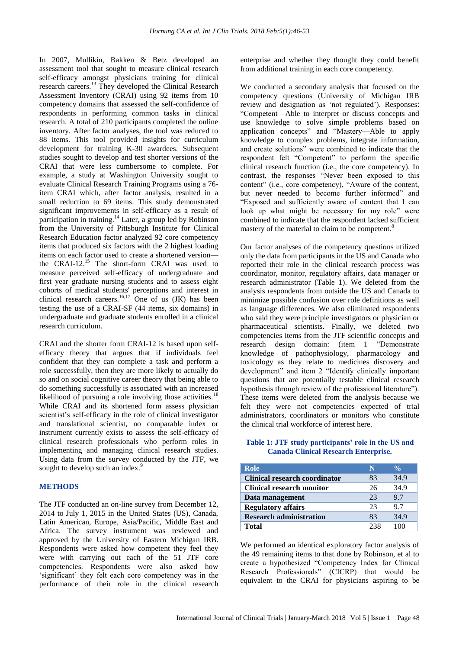In 2007, Mullikin, Bakken & Betz developed an assessment tool that sought to measure clinical research self-efficacy amongst physicians training for clinical research careers.<sup>13</sup> They developed the Clinical Research Assessment Inventory (CRAI) using 92 items from 10 competency domains that assessed the self-confidence of respondents in performing common tasks in clinical research. A total of 210 participants completed the online inventory. After factor analyses, the tool was reduced to 88 items. This tool provided insights for curriculum development for training K-30 awardees. Subsequent studies sought to develop and test shorter versions of the CRAI that were less cumbersome to complete. For example, a study at Washington University sought to evaluate Clinical Research Training Programs using a 76 item CRAI which, after factor analysis, resulted in a small reduction to 69 items. This study demonstrated significant improvements in self-efficacy as a result of participation in training.<sup>14</sup> Later, a group led by Robinson from the University of Pittsburgh Institute for Clinical Research Education factor analyzed 92 core competency items that produced six factors with the 2 highest loading items on each factor used to create a shortened version the CRAI-12.<sup>15</sup> The short-form CRAI was used to measure perceived self-efficacy of undergraduate and first year graduate nursing students and to assess eight cohorts of medical students' perceptions and interest in clinical research careers.<sup>16,17</sup> One of us  $(JK)$  has been testing the use of a CRAI-SF (44 items, six domains) in undergraduate and graduate students enrolled in a clinical research curriculum.

CRAI and the shorter form CRAI-12 is based upon selfefficacy theory that argues that if individuals feel confident that they can complete a task and perform a role successfully, then they are more likely to actually do so and on social cognitive career theory that being able to do something successfully is associated with an increased likelihood of pursuing a role involving those activities.<sup>18</sup> While CRAI and its shortened form assess physician scientist's self-efficacy in the role of clinical investigator and translational scientist, no comparable index or instrument currently exists to assess the self-efficacy of clinical research professionals who perform roles in implementing and managing clinical research studies. Using data from the survey conducted by the JTF, we sought to develop such an index.<sup>9</sup>

#### **METHODS**

The JTF conducted an on-line survey from December 12, 2014 to July 1, 2015 in the United States (US), Canada, Latin American, Europe, Asia/Pacific, Middle East and Africa. The survey instrument was reviewed and approved by the University of Eastern Michigan IRB. Respondents were asked how competent they feel they were with carrying out each of the 51 JTF core competencies. Respondents were also asked how "significant" they felt each core competency was in the performance of their role in the clinical research enterprise and whether they thought they could benefit from additional training in each core competency.

We conducted a secondary analysis that focused on the competency questions (University of Michigan IRB review and designation as "not regulated"). Responses: "Competent—Able to interpret or discuss concepts and use knowledge to solve simple problems based on application concepts" and "Mastery—Able to apply knowledge to complex problems, integrate information, and create solutions" were combined to indicate that the respondent felt "Competent" to perform the specific clinical research function (i.e., the core competency). In contrast, the responses "Never been exposed to this content" (i.e., core competency), "Aware of the content, but never needed to become further informed" and "Exposed and sufficiently aware of content that I can look up what might be necessary for my role" were combined to indicate that the respondent lacked sufficient mastery of the material to claim to be competent.<sup>8</sup>

Our factor analyses of the competency questions utilized only the data from participants in the US and Canada who reported their role in the clinical research process was coordinator, monitor, regulatory affairs, data manager or research administrator (Table 1). We deleted from the analysis respondents from outside the US and Canada to minimize possible confusion over role definitions as well as language differences. We also eliminated respondents who said they were principle investigators or physician or pharmaceutical scientists. Finally, we deleted two competencies items from the JTF scientific concepts and research design domain: (item 1 "Demonstrate knowledge of pathophysiology, pharmacology and toxicology as they relate to medicines discovery and development" and item 2 "Identify clinically important questions that are potentially testable clinical research hypothesis through review of the professional literature"). These items were deleted from the analysis because we felt they were not competencies expected of trial administrators, coordinators or monitors who constitute the clinical trial workforce of interest here.

#### **Table 1: JTF study participants' role in the US and Canada Clinical Research Enterprise.**

| Role                           | N   | $\frac{0}{\sqrt{2}}$ |
|--------------------------------|-----|----------------------|
| Clinical research coordinator  | 83  | 34.9                 |
| Clinical research monitor      | 26  | 34.9                 |
| Data management                | 23  | 9.7                  |
| <b>Regulatory affairs</b>      | 23  | 9.7                  |
| <b>Research administration</b> | 83  | 34.9                 |
| Total                          | 238 | 100                  |

We performed an identical exploratory factor analysis of the 49 remaining items to that done by Robinson, et al to create a hypothesized "Competency Index for Clinical Research Professionals" (CICRP) that would be equivalent to the CRAI for physicians aspiring to be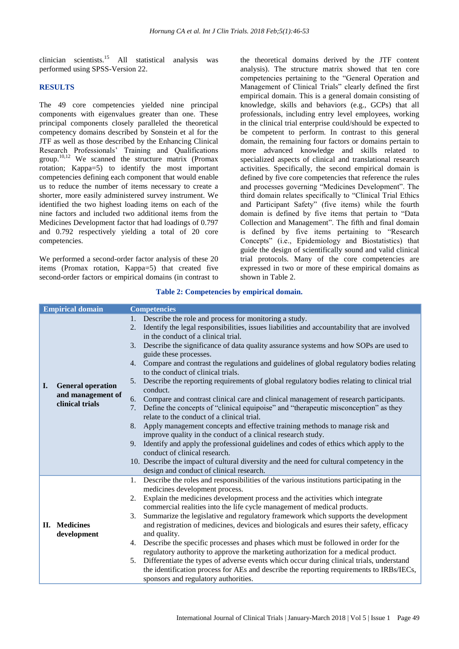clinician scientists.<sup>15</sup> All statistical analysis was performed using SPSS-Version 22.

#### **RESULTS**

The 49 core competencies yielded nine principal components with eigenvalues greater than one. These principal components closely paralleled the theoretical competency domains described by Sonstein et al for the JTF as well as those described by the Enhancing Clinical Research Professionals" Training and Qualifications group.10,12 We scanned the structure matrix (Promax rotation; Kappa=5) to identify the most important competencies defining each component that would enable us to reduce the number of items necessary to create a shorter, more easily administered survey instrument. We identified the two highest loading items on each of the nine factors and included two additional items from the Medicines Development factor that had loadings of 0.797 and 0.792 respectively yielding a total of 20 core competencies.

We performed a second-order factor analysis of these 20 items (Promax rotation, Kappa=5) that created five second-order factors or empirical domains (in contrast to the theoretical domains derived by the JTF content analysis). The structure matrix showed that ten core competencies pertaining to the "General Operation and Management of Clinical Trials" clearly defined the first empirical domain. This is a general domain consisting of knowledge, skills and behaviors (e.g., GCPs) that all professionals, including entry level employees, working in the clinical trial enterprise could/should be expected to be competent to perform. In contrast to this general domain, the remaining four factors or domains pertain to more advanced knowledge and skills related to specialized aspects of clinical and translational research activities. Specifically, the second empirical domain is defined by five core competencies that reference the rules and processes governing "Medicines Development". The third domain relates specifically to "Clinical Trial Ethics and Participant Safety" (five items) while the fourth domain is defined by five items that pertain to "Data Collection and Management". The fifth and final domain is defined by five items pertaining to "Research Concepts" (i.e., Epidemiology and Biostatistics) that guide the design of scientifically sound and valid clinical trial protocols. Many of the core competencies are expressed in two or more of these empirical domains as shown in Table 2.

#### **Table 2: Competencies by empirical domain.**

|    | <b>Empirical domain</b>                                          |             | <b>Competencies</b>                                                                                                                                                                             |
|----|------------------------------------------------------------------|-------------|-------------------------------------------------------------------------------------------------------------------------------------------------------------------------------------------------|
| I. | <b>General operation</b><br>and management of<br>clinical trials | $1_{\cdot}$ | Describe the role and process for monitoring a study.<br>2. Identify the legal responsibilities, issues liabilities and accountability that are involved<br>in the conduct of a clinical trial. |
|    |                                                                  | 3.          | Describe the significance of data quality assurance systems and how SOPs are used to<br>guide these processes.                                                                                  |
|    |                                                                  | 4.          | Compare and contrast the regulations and guidelines of global regulatory bodies relating<br>to the conduct of clinical trials.                                                                  |
|    |                                                                  | 5.          | Describe the reporting requirements of global regulatory bodies relating to clinical trial<br>conduct.                                                                                          |
|    |                                                                  | 6.<br>7.    | Compare and contrast clinical care and clinical management of research participants.<br>Define the concepts of "clinical equipoise" and "therapeutic misconception" as they                     |
|    |                                                                  |             | relate to the conduct of a clinical trial.                                                                                                                                                      |
|    |                                                                  | 8.          | Apply management concepts and effective training methods to manage risk and<br>improve quality in the conduct of a clinical research study.                                                     |
|    |                                                                  |             | 9. Identify and apply the professional guidelines and codes of ethics which apply to the                                                                                                        |
|    |                                                                  |             | conduct of clinical research.                                                                                                                                                                   |
|    |                                                                  |             | 10. Describe the impact of cultural diversity and the need for cultural competency in the                                                                                                       |
|    |                                                                  |             | design and conduct of clinical research.                                                                                                                                                        |
|    |                                                                  |             | 1. Describe the roles and responsibilities of the various institutions participating in the                                                                                                     |
|    |                                                                  | 2.          | medicines development process.                                                                                                                                                                  |
|    | II. Medicines<br>development                                     |             | Explain the medicines development process and the activities which integrate<br>commercial realities into the life cycle management of medical products.                                        |
|    |                                                                  | 3.          | Summarize the legislative and regulatory framework which supports the development                                                                                                               |
|    |                                                                  |             | and registration of medicines, devices and biologicals and esures their safety, efficacy                                                                                                        |
|    |                                                                  |             | and quality.                                                                                                                                                                                    |
|    |                                                                  | 4.          | Describe the specific processes and phases which must be followed in order for the<br>regulatory authority to approve the marketing authorization for a medical product.                        |
|    |                                                                  | 5.          | Differentiate the types of adverse events which occur during clinical trials, understand                                                                                                        |
|    |                                                                  |             | the identification process for AEs and describe the reporting requirements to IRBs/IECs,                                                                                                        |
|    |                                                                  |             | sponsors and regulatory authorities.                                                                                                                                                            |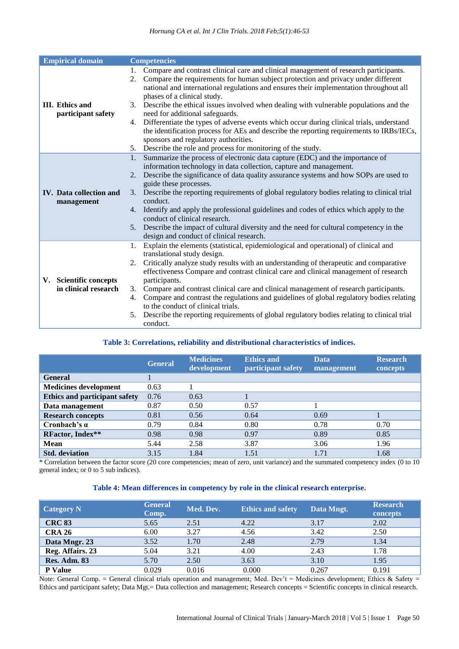| <b>Empirical domain</b>                        | <b>Competencies</b>                                                                                                                                                                                                                                                                                                                                                                                                                                                                                                                                                                                                                                                                                                                                     |
|------------------------------------------------|---------------------------------------------------------------------------------------------------------------------------------------------------------------------------------------------------------------------------------------------------------------------------------------------------------------------------------------------------------------------------------------------------------------------------------------------------------------------------------------------------------------------------------------------------------------------------------------------------------------------------------------------------------------------------------------------------------------------------------------------------------|
| III. Ethics and<br>participant safety          | Compare and contrast clinical care and clinical management of research participants.<br>1.<br>Compare the requirements for human subject protection and privacy under different<br>2.<br>national and international regulations and ensures their implementation throughout all<br>phases of a clinical study.<br>Describe the ethical issues involved when dealing with vulnerable populations and the<br>3.<br>need for additional safeguards.<br>4. Differentiate the types of adverse events which occur during clinical trials, understand<br>the identification process for AEs and describe the reporting requirements to IRBs/IECs,<br>sponsors and regulatory authorities.<br>Describe the role and process for monitoring of the study.<br>5. |
| <b>IV.</b> Data collection and<br>management   | Summarize the process of electronic data capture (EDC) and the importance of<br>1.<br>information technology in data collection, capture and management.<br>Describe the significance of data quality assurance systems and how SOPs are used to<br>2.<br>guide these processes.<br>3. Describe the reporting requirements of global regulatory bodies relating to clinical trial<br>conduct.<br>4. Identify and apply the professional guidelines and codes of ethics which apply to the<br>conduct of clinical research.<br>Describe the impact of cultural diversity and the need for cultural competency in the<br>5.<br>design and conduct of clinical research.                                                                                   |
| V. Scientific concepts<br>in clinical research | Explain the elements (statistical, epidemiological and operational) of clinical and<br>1.<br>translational study design.<br>Critically analyze study results with an understanding of therapeutic and comparative<br>2.<br>effectiveness Compare and contrast clinical care and clinical management of research<br>participants.<br>Compare and contrast clinical care and clinical management of research participants.<br>3.<br>Compare and contrast the regulations and guidelines of global regulatory bodies relating<br>4.<br>to the conduct of clinical trials.<br>Describe the reporting requirements of global regulatory bodies relating to clinical trial<br>5.<br>conduct.                                                                  |

# **Table 3: Correlations, reliability and distributional characteristics of indices.**

|                                      | <b>General</b> | <b>Medicines</b><br>development | <b>Ethics and</b><br>participant safety | <b>Data</b><br>management | <b>Research</b><br>concepts |
|--------------------------------------|----------------|---------------------------------|-----------------------------------------|---------------------------|-----------------------------|
| <b>General</b>                       |                |                                 |                                         |                           |                             |
| <b>Medicines development</b>         | 0.63           |                                 |                                         |                           |                             |
| <b>Ethics and participant safety</b> | 0.76           | 0.63                            |                                         |                           |                             |
| Data management                      | 0.87           | 0.50                            | 0.57                                    |                           |                             |
| <b>Research concepts</b>             | 0.81           | 0.56                            | 0.64                                    | 0.69                      |                             |
| Cronbach's $\alpha$                  | 0.79           | 0.84                            | 0.80                                    | 0.78                      | 0.70                        |
| RFactor, Index**                     | 0.98           | 0.98                            | 0.97                                    | 0.89                      | 0.85                        |
| <b>Mean</b>                          | 5.44           | 2.58                            | 3.87                                    | 3.06                      | 1.96                        |
| <b>Std.</b> deviation                | 3.15           | 1.84                            | 1.51                                    | 1.71                      | 1.68                        |

\* Correlation between the factor score (20 core competencies; mean of zero, unit variance) and the summated competency index (0 to 10 general index; or 0 to 5 sub indices).

## **Table 4: Mean differences in competency by role in the clinical research enterprise.**

| <b>Category N</b>   | <b>General</b><br>Comp. | Med. Dev. | <b>Ethics and safety</b> | Data Mngt. | <b>Research</b><br>concepts |
|---------------------|-------------------------|-----------|--------------------------|------------|-----------------------------|
| <b>CRC 83</b>       | 5.65                    | 2.51      | 4.22                     | 3.17       | 2.02                        |
| <b>CRA 26</b>       | 6.00                    | 3.27      | 4.56                     | 3.42       | 2.50                        |
| Data Mngr. 23       | 3.52                    | 1.70      | 2.48                     | 2.79       | 1.34                        |
| Reg. Affairs. 23    | 5.04                    | 3.21      | 4.00                     | 2.43       | 1.78                        |
| <b>Res. Adm. 83</b> | 5.70                    | 2.50      | 3.63                     | 3.10       | 1.95                        |
| <b>P</b> Value      | 0.029                   | 0.016     | 0.000                    | 0.267      | 0.191                       |

Note: General Comp. = General clinical trials operation and management; Med. Dev't = Medicines development; Ethics & Safety = Ethics and participant safety; Data Mgt.= Data collection and management; Research concepts = Scientific concepts in clinical research.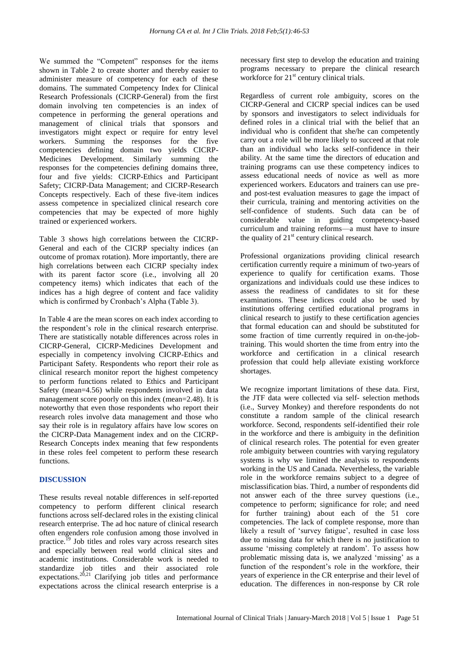We summed the "Competent" responses for the items shown in Table 2 to create shorter and thereby easier to administer measure of competency for each of these domains. The summated Competency Index for Clinical Research Professionals (CICRP-General) from the first domain involving ten competencies is an index of competence in performing the general operations and management of clinical trials that sponsors and investigators might expect or require for entry level workers. Summing the responses for the five competencies defining domain two yields CICRP-Medicines Development. Similarly summing the responses for the competencies defining domains three, four and five yields: CICRP-Ethics and Participant Safety; CICRP-Data Management; and CICRP-Research Concepts respectively. Each of these five-item indices assess competence in specialized clinical research core competencies that may be expected of more highly trained or experienced workers.

Table 3 shows high correlations between the CICRP-General and each of the CICRP specialty indices (an outcome of promax rotation). More importantly, there are high correlations between each CICRP specialty index with its parent factor score (i.e., involving all 20 competency items) which indicates that each of the indices has a high degree of content and face validity which is confirmed by Cronbach's Alpha (Table 3).

In Table 4 are the mean scores on each index according to the respondent"s role in the clinical research enterprise. There are statistically notable differences across roles in CICRP-General, CICRP-Medicines Development and especially in competency involving CICRP-Ethics and Participant Safety. Respondents who report their role as clinical research monitor report the highest competency to perform functions related to Ethics and Participant Safety (mean=4.56) while respondents involved in data management score poorly on this index (mean=2.48). It is noteworthy that even those respondents who report their research roles involve data management and those who say their role is in regulatory affairs have low scores on the CICRP-Data Management index and on the CICRP-Research Concepts index meaning that few respondents in these roles feel competent to perform these research functions.

#### **DISCUSSION**

These results reveal notable differences in self-reported competency to perform different clinical research functions across self-declared roles in the existing clinical research enterprise. The ad hoc nature of clinical research often engenders role confusion among those involved in practice.<sup> $19$ </sup> Job titles and roles vary across research sites and especially between real world clinical sites and academic institutions. Considerable work is needed to standardize job titles and their associated role expectations.<sup>20,21</sup> Clarifying job titles and performance expectations across the clinical research enterprise is a necessary first step to develop the education and training programs necessary to prepare the clinical research workforce for  $21<sup>st</sup>$  century clinical trials.

Regardless of current role ambiguity, scores on the CICRP-General and CICRP special indices can be used by sponsors and investigators to select individuals for defined roles in a clinical trial with the belief that an individual who is confident that she/he can competently carry out a role will be more likely to succeed at that role than an individual who lacks self-confidence in their ability. At the same time the directors of education and training programs can use these competency indices to assess educational needs of novice as well as more experienced workers. Educators and trainers can use preand post-test evaluation measures to gage the impact of their curricula, training and mentoring activities on the self-confidence of students. Such data can be of considerable value in guiding competency-based curriculum and training reforms—a must have to insure the quality of  $21<sup>st</sup>$  century clinical research.

Professional organizations providing clinical research certification currently require a minimum of two-years of experience to qualify for certification exams. Those organizations and individuals could use these indices to assess the readiness of candidates to sit for these examinations. These indices could also be used by institutions offering certified educational programs in clinical research to justify to these certification agencies that formal education can and should be substituted for some fraction of time currently required in on-the-jobtraining. This would shorten the time from entry into the workforce and certification in a clinical research profession that could help alleviate existing workforce shortages.

We recognize important limitations of these data. First, the JTF data were collected via self- selection methods (i.e., Survey Monkey) and therefore respondents do not constitute a random sample of the clinical research workforce. Second, respondents self-identified their role in the workforce and there is ambiguity in the definition of clinical research roles. The potential for even greater role ambiguity between countries with varying regulatory systems is why we limited the analysis to respondents working in the US and Canada. Nevertheless, the variable role in the workforce remains subject to a degree of misclassification bias. Third, a number of respondents did not answer each of the three survey questions (i.e., competence to perform; significance for role; and need for further training) about each of the 51 core competencies. The lack of complete response, more than likely a result of 'survey fatigue', resulted in case loss due to missing data for which there is no justification to assume "missing completely at random". To assess how problematic missing data is, we analyzed "missing" as a function of the respondent's role in the workfore, their years of experience in the CR enterprise and their level of education. The differences in non-response by CR role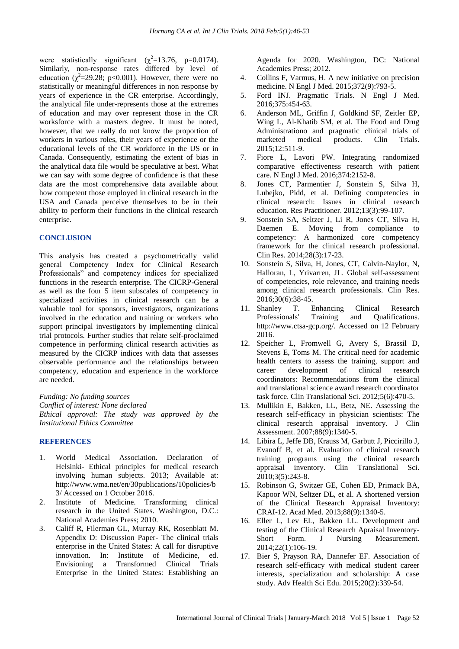were statistically significant  $(\chi^2=13.76, p=0.0174)$ . Similarly, non-response rates differed by level of education  $(\chi^2 = 29.28; \text{ p} < 0.001)$ . However, there were no statistically or meaningful differences in non response by years of experience in the CR enterprise. Accordingly, the analytical file under-represents those at the extremes of education and may over represent those in the CR worksforce with a masters degree. It must be noted, however, that we really do not know the proportion of workers in various roles, their years of experience or the educational levels of the CR workforce in the US or in Canada. Consequently, estimating the extent of bias in the analytical data file would be speculative at best. What we can say with some degree of confidence is that these data are the most comprehensive data available about how competent those employed in clinical research in the USA and Canada perceive themselves to be in their ability to perform their functions in the clinical research enterprise.

#### **CONCLUSION**

This analysis has created a psychometrically valid general Competency Index for Clinical Research Professionals" and competency indices for specialized functions in the research enterprise. The CICRP-General as well as the four 5 item subscales of competency in specialized activities in clinical research can be a valuable tool for sponsors, investigators, organizations involved in the education and training or workers who support principal investigators by implementing clinical trial protocols. Further studies that relate self-proclaimed competence in performing clinical research activities as measured by the CICRP indices with data that assesses observable performance and the relationships between competency, education and experience in the workforce are needed.

*Funding: No funding sources Conflict of interest: None declared Ethical approval: The study was approved by the Institutional Ethics Committee*

#### **REFERENCES**

- 1. World Medical Association. Declaration of Helsinki- Ethical principles for medical research involving human subjects. 2013; Available at: http://www.wma.net/en/30publications/10policies/b 3/ Accessed on 1 October 2016.
- 2. Institute of Medicine. Transforming clinical research in the United States. Washington, D.C.: National Academies Press; 2010.
- 3. Califf R, Filerman GL, Murray RK, Rosenblatt M. Appendix D: Discussion Paper- The clinical trials enterprise in the United States: A call for disruptive innovation. In: Institute of Medicine, ed. Envisioning a Transformed Clinical Trials Enterprise in the United States: Establishing an

Agenda for 2020. Washington, DC: National Academies Press; 2012.

- 4. Collins F, Varmus, H. A new initiative on precision medicine. N Engl J Med. 2015;372(9):793-5.
- 5. Ford INJ. Pragmatic Trials. N Engl J Med. 2016;375:454-63.
- 6. Anderson ML, Griffin J, Goldkind SF, Zeitler EP, Wing L, Al-Khatib SM, et al. The Food and Drug Administrationo and pragmatic clinical trials of marketed medical products. Clin Trials. 2015;12:511-9.
- 7. Fiore L, Lavori PW. Integrating randomized comparative effectiveness research with patient care. N Engl J Med. 2016;374:2152-8.
- 8. Jones CT, Parmentier J, Sonstein S, Silva H, Lubejko, Pidd, et al. Defining competencies in clinical research: Issues in clinical research education. Res Practitioner. 2012;13(3):99-107.
- 9. Sonstein SA, Seltzer J, Li R, Jones CT, Silva H, Daemen E. Moving from compliance to competency: A harmonized core competency framework for the clinical research professional. Clin Res. 2014;28(3):17-23.
- 10. Sonstein S, Silva, H, Jones, CT, Calvin-Naylor, N, Halloran, L, Yrivarren, JL. Global self-assessment of competencies, role relevance, and training needs among clinical research professionals. Clin Res. 2016;30(6):38-45.
- 11. Shanley T. Enhancing Clinical Research Professionals' Training and Qualifications. http://www.ctsa-gcp.org/. Accessed on 12 February 2016.
- 12. Speicher L, Fromwell G, Avery S, Brassil D, Stevens E, Toms M. The critical need for academic health centers to assess the training, support and career development of clinical research coordinators: Recommendations from the clinical and translational science award research coordinator task force. Clin Translational Sci. 2012;5(6):470-5.
- 13. Mullikin E, Bakken, LL, Betz, NE. Assessing the research self-efficacy in physician scientists: The clinical research appraisal inventory. J Clin Assessment. 2007;88(9):1340-5.
- 14. Libira L, Jeffe DB, Krauss M, Garbutt J, Piccirillo J, Evanoff B, et al. Evaluation of clinical research training programs using the clinical research appraisal inventory. Clin Translational Sci. 2010;3(5):243-8.
- 15. Robinson G, Switzer GE, Cohen ED, Primack BA, Kapoor WN, Seltzer DL, et al. A shortened version of the Clinical Research Appraisal Inventory: CRAI-12. Acad Med. 2013;88(9):1340-5.
- 16. Eller L, Lev EL, Bakken LL. Development and testing of the Clinical Research Apraisal Inventory-Short Form. J Nursing Measurement. 2014;22(1):106-19.
- 17. Bier S, Prayson RA, Dannefer EF. Association of research self-efficacy with medical student career interests, specialization and scholarship: A case study. Adv Health Sci Edu. 2015;20(2):339-54.